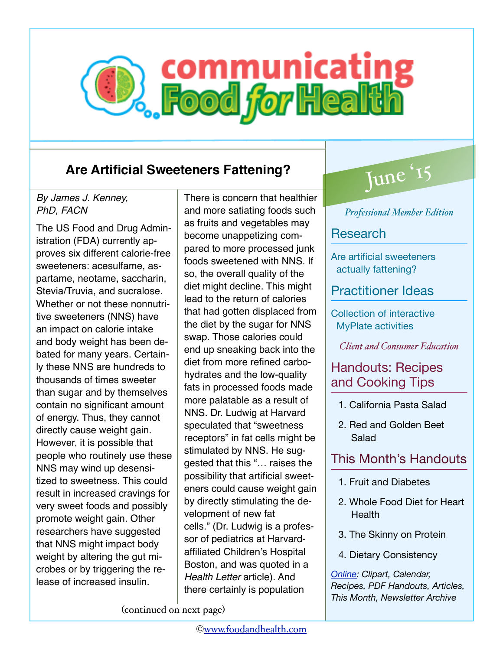# **B.** Communicating

# **Are Artificial Sweeteners Fattening?**

### *By James J. Kenney, PhD, FACN*

The US Food and Drug Administration (FDA) currently approves six different calorie-free sweeteners: acesulfame, aspartame, neotame, saccharin, Stevia/Truvia, and sucralose. Whether or not these nonnutritive sweeteners (NNS) have an impact on calorie intake and body weight has been debated for many years. Certainly these NNS are hundreds to thousands of times sweeter than sugar and by themselves contain no significant amount of energy. Thus, they cannot directly cause weight gain. However, it is possible that people who routinely use these NNS may wind up desensitized to sweetness. This could result in increased cravings for very sweet foods and possibly promote weight gain. Other researchers have suggested that NNS might impact body weight by altering the gut microbes or by triggering the release of increased insulin.

There is concern that healthier and more satiating foods such as fruits and vegetables may become unappetizing compared to more processed junk foods sweetened with NNS. If so, the overall quality of the diet might decline. This might lead to the return of calories that had gotten displaced from the diet by the sugar for NNS swap. Those calories could end up sneaking back into the diet from more refined carbohydrates and the low-quality fats in processed foods made more palatable as a result of NNS. Dr. Ludwig at Harvard speculated that "sweetness receptors" in fat cells might be stimulated by NNS. He suggested that this "… raises the possibility that artificial sweeteners could cause weight gain by directly stimulating the development of new fat cells." (Dr. Ludwig is a professor of pediatrics at Harvardaffiliated Children's Hospital Boston, and was quoted in a *Health Letter* article). And there certainly is population

# June '15

*Professional Member Edition*

## **Research**

Are artificial sweeteners actually fattening?

# Practitioner Ideas

Collection of interactive MyPlate activities

*Client and Consumer Education*

# Handouts: Recipes and Cooking Tips

- 1. California Pasta Salad
- 2. Red and Golden Beet Salad

# This Month's Handouts

- 1. Fruit and Diabetes
- 2. Whole Food Diet for Heart **Health**
- 3. The Skinny on Protein
- 4. Dietary Consistency

*[Online](http://communicatingfoodforhealth.com): Clipart, Calendar, Recipes, PDF Handouts, Articles, This Month, Newsletter Archive*

(continued on next page)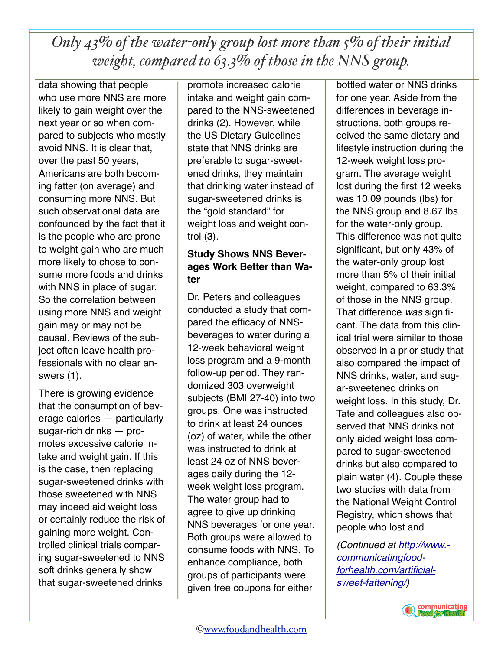*Only 43% of the water-only group lost more than 5% of their initial weight, compared to 63.3% of those in the NNS group.*

data showing that people who use more NNS are more likely to gain weight over the next year or so when compared to subjects who mostly avoid NNS. It is clear that, over the past 50 years, Americans are both becoming fatter (on average) and consuming more NNS. But such observational data are confounded by the fact that it is the people who are prone to weight gain who are much more likely to chose to consume more foods and drinks with NNS in place of sugar. So the correlation between using more NNS and weight gain may or may not be causal. Reviews of the subject often leave health professionals with no clear answers (1).

There is growing evidence that the consumption of beverage calories — particularly sugar-rich drinks — promotes excessive calorie intake and weight gain. If this is the case, then replacing sugar-sweetened drinks with those sweetened with NNS may indeed aid weight loss or certainly reduce the risk of gaining more weight. Controlled clinical trials comparing sugar-sweetened to NNS soft drinks generally show that sugar-sweetened drinks

promote increased calorie intake and weight gain compared to the NNS-sweetened drinks (2). However, while the US Dietary Guidelines state that NNS drinks are preferable to sugar-sweetened drinks, they maintain that drinking water instead of sugar-sweetened drinks is the "gold standard" for weight loss and weight control (3).

### **Study Shows NNS Beverages Work Better than Water**

Dr. Peters and colleagues conducted a study that compared the efficacy of NNSbeverages to water during a 12-week behavioral weight loss program and a 9-month follow-up period. They randomized 303 overweight subjects (BMI 27-40) into two groups. One was instructed to drink at least 24 ounces (oz) of water, while the other was instructed to drink at least 24 oz of NNS beverages daily during the 12 week weight loss program. The water group had to agree to give up drinking NNS beverages for one year. Both groups were allowed to consume foods with NNS. To enhance compliance, both groups of participants were given free coupons for either

bottled water or NNS drinks for one year. Aside from the differences in beverage instructions, both groups received the same dietary and lifestyle instruction during the 12-week weight loss program. The average weight lost during the first 12 weeks was 10.09 pounds (lbs) for the NNS group and 8.67 lbs for the water-only group. This difference was not quite significant, but only 43% of the water-only group lost more than 5% of their initial weight, compared to 63.3% of those in the NNS group. That difference *was* significant. The data from this clinical trial were similar to those observed in a prior study that also compared the impact of NNS drinks, water, and sugar-sweetened drinks on weight loss. In this study, Dr. Tate and colleagues also observed that NNS drinks not only aided weight loss compared to sugar-sweetened drinks but also compared to plain water (4). Couple these two studies with data from the National Weight Control Registry, which shows that people who lost and

*[\(Continued at http://www.](http://www.communicatingfoodforhealth.com/artificial-sweet-fattening/) communicatingfoodforhealth.com/artificialsweet-fattening/)*